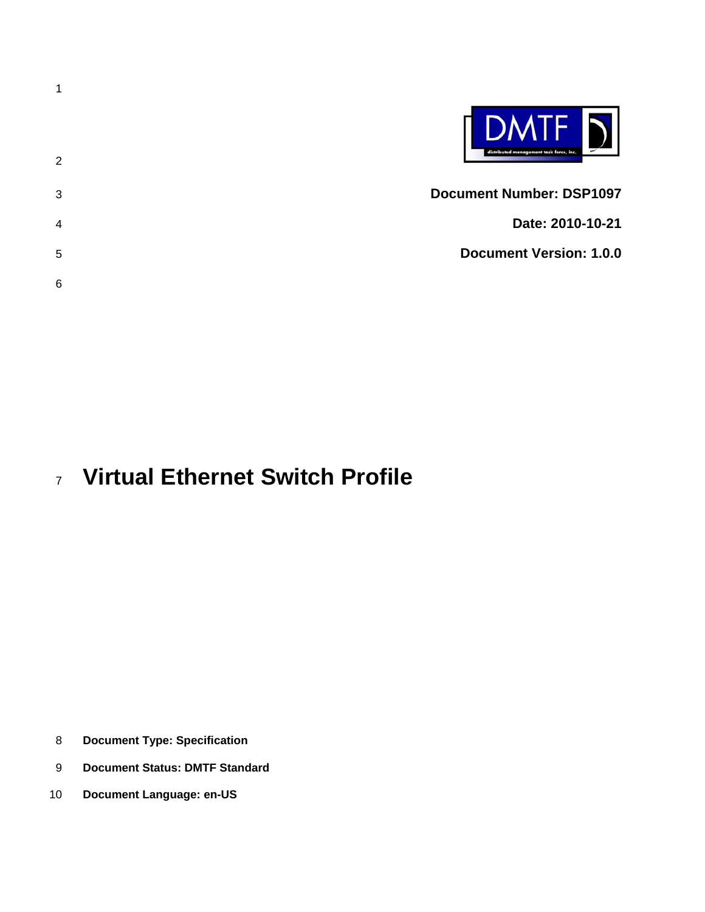

| <b>Document Number: DSP1097</b> | 3 |
|---------------------------------|---|
| Date: 2010-10-21                |   |
| <b>Document Version: 1.0.0</b>  | 5 |
|                                 | 6 |

# **Virtual Ethernet Switch Profile**

 **Document Type: Specification** 

- **Document Status: DMTF Standard**
- **Document Language: en-US**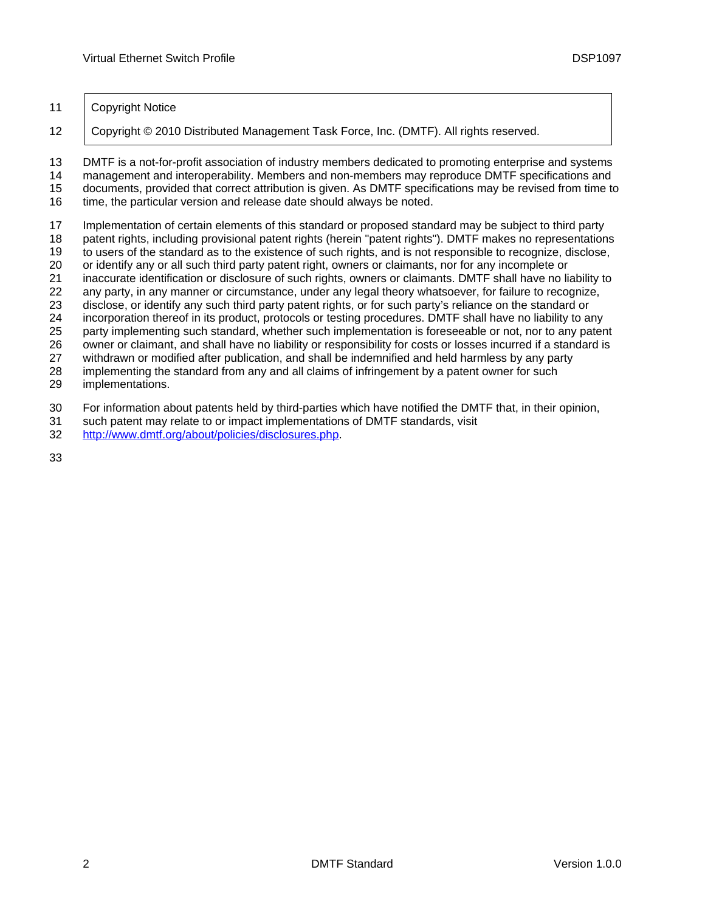#### 11 | Copyright Notice

12 Copyright © 2010 Distributed Management Task Force, Inc. (DMTF). All rights reserved.

13 14 15 DMTF is a not-for-profit association of industry members dedicated to promoting enterprise and systems management and interoperability. Members and non-members may reproduce DMTF specifications and documents, provided that correct attribution is given. As DMTF specifications may be revised from time to

16 time, the particular version and release date should always be noted.

- 17 Implementation of certain elements of this standard or proposed standard may be subject to third party
- 18 patent rights, including provisional patent rights (herein "patent rights"). DMTF makes no representations
- 19 to users of the standard as to the existence of such rights, and is not responsible to recognize, disclose,
- 20 21 or identify any or all such third party patent right, owners or claimants, nor for any incomplete or inaccurate identification or disclosure of such rights, owners or claimants. DMTF shall have no liability to
- 22 any party, in any manner or circumstance, under any legal theory whatsoever, for failure to recognize,
- 23 disclose, or identify any such third party patent rights, or for such party's reliance on the standard or
- 24 incorporation thereof in its product, protocols or testing procedures. DMTF shall have no liability to any
- 25 party implementing such standard, whether such implementation is foreseeable or not, nor to any patent
- 26 owner or claimant, and shall have no liability or responsibility for costs or losses incurred if a standard is
- 27 withdrawn or modified after publication, and shall be indemnified and held harmless by any party

28 implementing the standard from any and all claims of infringement by a patent owner for such

- 29 implementations.
- 30 For information about patents held by third-parties which have notified the DMTF that, in their opinion,
- 31 such patent may relate to or impact implementations of DMTF standards, visit
- 32 <http://www.dmtf.org/about/policies/disclosures.php>.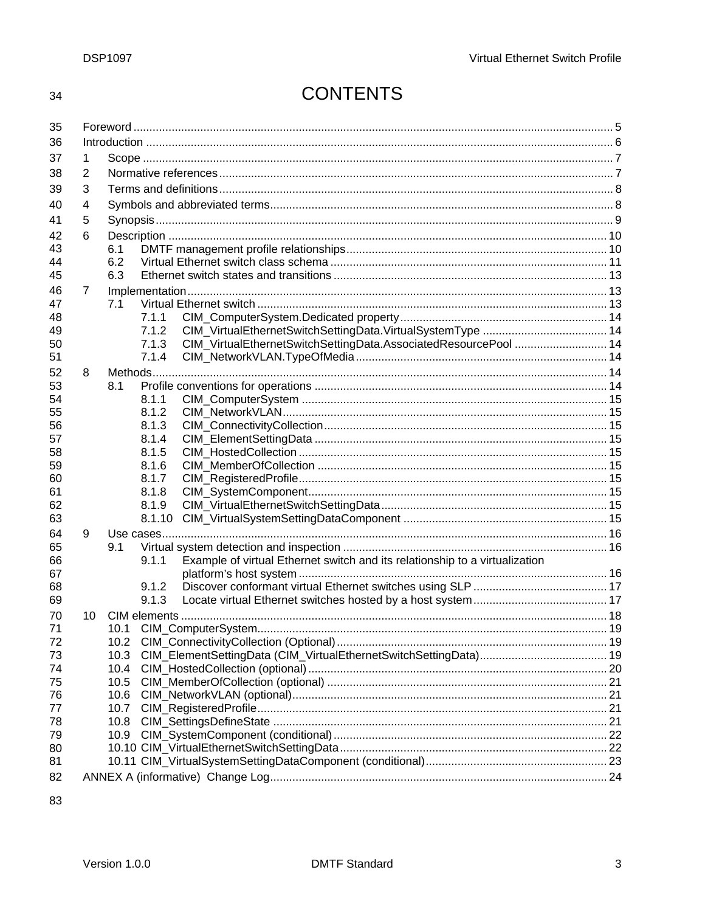34

# **CONTENTS**

| 35       |    |            |                                                                                      |  |
|----------|----|------------|--------------------------------------------------------------------------------------|--|
| 36       |    |            |                                                                                      |  |
| 37       | 1  |            |                                                                                      |  |
| 38       | 2  |            |                                                                                      |  |
| 39       | 3  |            |                                                                                      |  |
| 40       | 4  |            |                                                                                      |  |
|          |    |            |                                                                                      |  |
| 41       | 5  |            |                                                                                      |  |
| 42       | 6  |            |                                                                                      |  |
| 43       |    | 6.1        |                                                                                      |  |
| 44       |    | 6.2<br>6.3 |                                                                                      |  |
| 45       |    |            |                                                                                      |  |
| 46       | 7  |            |                                                                                      |  |
| 47       |    | 7.1        |                                                                                      |  |
| 48       |    |            | 7.1.1                                                                                |  |
| 49       |    |            | 7.1.2                                                                                |  |
| 50<br>51 |    |            | CIM_VirtualEthernetSwitchSettingData.AssociatedResourcePool  14<br>7.1.3<br>7.1.4    |  |
|          |    |            |                                                                                      |  |
| 52       | 8  |            |                                                                                      |  |
| 53<br>54 |    | 8.1        | 8.1.1                                                                                |  |
| 55       |    |            | 8.1.2                                                                                |  |
| 56       |    |            | 8.1.3                                                                                |  |
| 57       |    |            | 8.1.4                                                                                |  |
| 58       |    |            | 8.1.5                                                                                |  |
| 59       |    |            | 8.1.6                                                                                |  |
| 60       |    |            | 8.1.7                                                                                |  |
| 61       |    |            | 8.1.8                                                                                |  |
| 62       |    |            | 8.1.9                                                                                |  |
| 63       |    |            | 8.1.10                                                                               |  |
| 64       | 9  |            |                                                                                      |  |
| 65       |    | 9.1        |                                                                                      |  |
| 66       |    |            | Example of virtual Ethernet switch and its relationship to a virtualization<br>9.1.1 |  |
| 67       |    |            |                                                                                      |  |
| 68       |    |            | 9.1.2                                                                                |  |
| 69       |    |            | 9.1.3                                                                                |  |
| 70       | 10 |            |                                                                                      |  |
| 71       |    | 10.1       |                                                                                      |  |
| 72       |    | 10.2       |                                                                                      |  |
| 73       |    | 10.3       |                                                                                      |  |
| 74       |    | 10.4       |                                                                                      |  |
| 75       |    | 10.5       |                                                                                      |  |
| 76       |    | 10.6       |                                                                                      |  |
| 77       |    | 10.7       |                                                                                      |  |
| 78       |    | 10.8       |                                                                                      |  |
| 79       |    | 10.9       |                                                                                      |  |
| 80       |    |            |                                                                                      |  |
| 81       |    |            |                                                                                      |  |
| 82       |    |            |                                                                                      |  |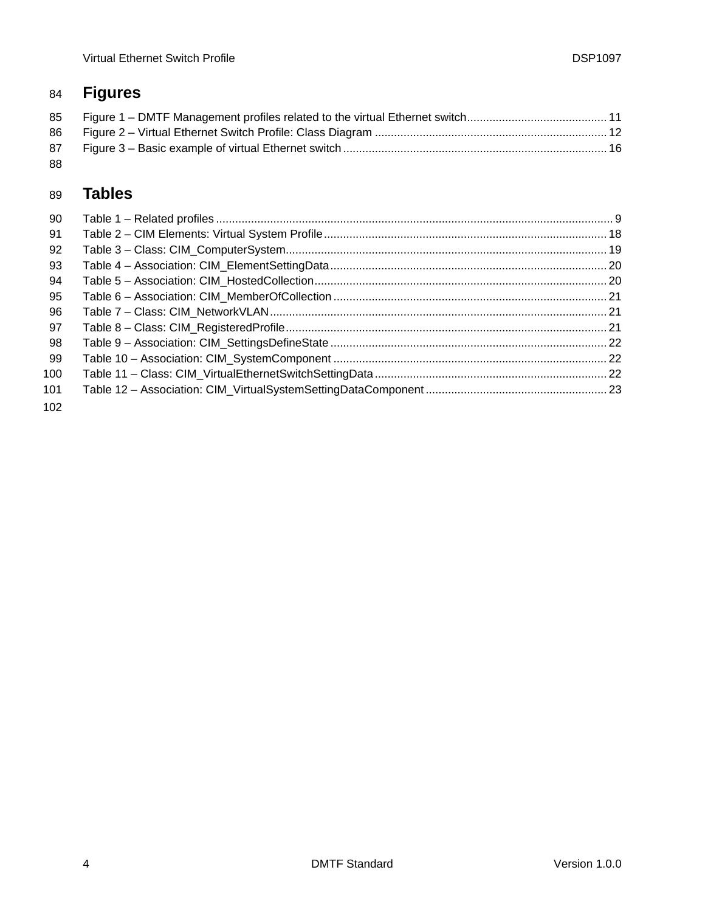#### 84 **Figures**

| 88 |  |
|----|--|

#### 89 **Tables**

| 90  |  |
|-----|--|
| 91  |  |
| 92  |  |
| 93  |  |
| 94  |  |
| 95  |  |
| 96  |  |
| 97  |  |
| -98 |  |
| -99 |  |
| 100 |  |
| 101 |  |
|     |  |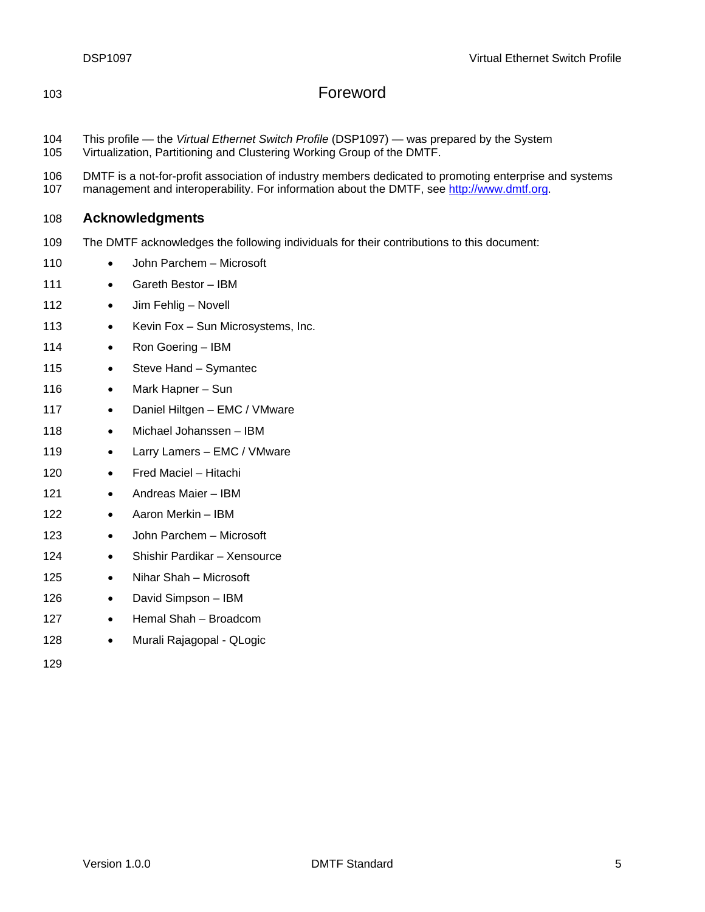<span id="page-4-0"></span>103

## Foreword

- 104 This profile — the *Virtual Ethernet Switch Profile* (DSP1097) — was prepared by the System
- 105 Virtualization, Partitioning and Clustering Working Group of the DMTF.
- 106<br>107 DMTF is a not-for-profit association of industry members dedicated to promoting enterprise and systems management and interoperability. For information about the DMTF, see [http://www.dmtf.org](http://www.dmtf.org/).

#### 108 **Acknowledgments**

- 109 The DMTF acknowledges the following individuals for their contributions to this document:
- 110 • John Parchem – Microsoft
- 111 • Gareth Bestor – IBM
- 112 • Jim Fehlig – Novell
- 113 • Kevin Fox – Sun Microsystems, Inc.
- 114 • Ron Goering – IBM
- 115 • Steve Hand – Symantec
- 116 • Mark Hapner – Sun
- 117 • Daniel Hiltgen – EMC / VMware
- 118 • Michael Johanssen – IBM
- 119 • Larry Lamers – EMC / VMware
- 120 • Fred Maciel – Hitachi
- 121 • Andreas Maier – IBM
- 122 • Aaron Merkin – IBM
- 123 • John Parchem – Microsoft
- 124 • Shishir Pardikar – Xensource
- 125 • Nihar Shah – Microsoft
- 126 • David Simpson – IBM
- 127 • Hemal Shah – Broadcom
- 128 • Murali Rajagopal - QLogic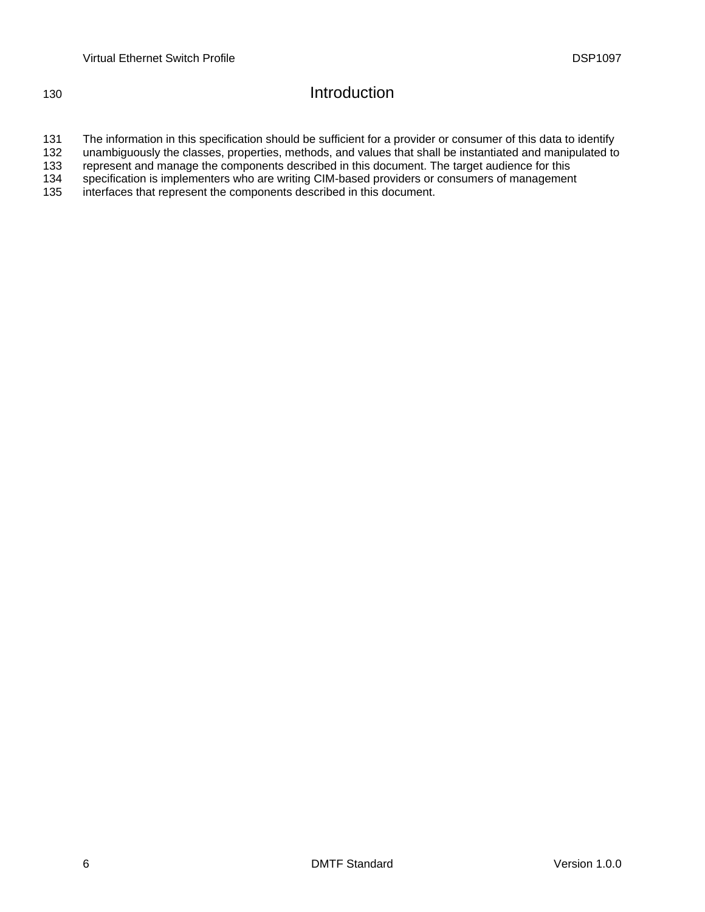<span id="page-5-0"></span>130

## Introduction

131 The information in this specification should be sufficient for a provider or consumer of this data to identify

132 unambiguously the classes, properties, methods, and values that shall be instantiated and manipulated to

133 represent and manage the components described in this document. The target audience for this

134 specification is implementers who are writing CIM-based providers or consumers of management

135 interfaces that represent the components described in this document.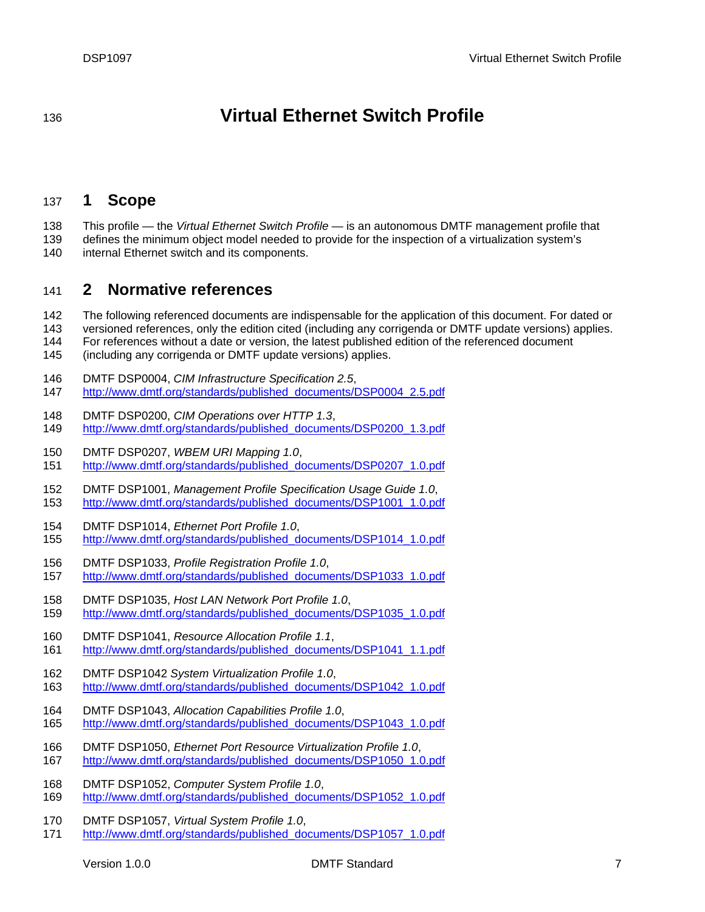# **Virtual Ethernet Switch Profile**

### 137 **1 Scope**

<span id="page-6-0"></span>136

- 138 This profile — the *Virtual Ethernet Switch Profile* — is an autonomous DMTF management profile that
- 139 defines the minimum object model needed to provide for the inspection of a virtualization system's
- 140 internal Ethernet switch and its components.

## 141 **2 Normative references**

- 142 The following referenced documents are indispensable for the application of this document. For dated or
- 143 versioned references, only the edition cited (including any corrigenda or DMTF update versions) applies.
- 144 For references without a date or version, the latest published edition of the referenced document
- 145 (including any corrigenda or DMTF update versions) applies.
- 146 DMTF DSP0004, *CIM Infrastructure Specification 2.5*,
- 147 [http://www.dmtf.org/standards/published\\_documents/DSP0004\\_2.5.pdf](http://www.dmtf.org/standards/published_documents/DSP0004_2.5.pdf)
- 148 DMTF DSP0200, *CIM Operations over HTTP 1.3*, 149 [http://www.dmtf.org/standards/published\\_documents/DSP0200\\_1.3.pdf](http://www.dmtf.org/standards/published_documents/DSP0200_1.3.pdf)
- 150 DMTF DSP0207, *WBEM URI Mapping 1.0*,
- 151 [http://www.dmtf.org/standards/published\\_documents/DSP0207\\_1.0.pdf](http://www.dmtf.org/standards/published_documents/DSP0207.pdf)
- 152 DMTF DSP1001, *Management Profile Specification Usage Guide 1.0*,
- 153 [http://www.dmtf.org/standards/published\\_documents/DSP1001\\_1.0.pdf](http://www.dmtf.org/standards/published_documents/DSP1001_1.0.pdf)
- 154 DMTF DSP1014, *Ethernet Port Profile 1.0*,
- 155 [http://www.dmtf.org/standards/published\\_documents/DSP1014\\_1.0.pdf](http://www.dmtf.org/standards/published_documents/DSP1014_1.0.pdf)
- 156 DMTF DSP1033, *Profile Registration Profile 1.0*,
- 157 [http://www.dmtf.org/standards/published\\_documents/DSP1033\\_1.0.pdf](http://www.dmtf.org/standards/published_documents/DSP1033_1.0.pdf)
- 158 DMTF DSP1035, *Host LAN Network Port Profile 1.0*,
- 159 [http://www.dmtf.org/standards/published\\_documents/DSP1035\\_1.0.pdf](http://www.dmtf.org/standards/published_documents/DSP1035_1.0.pdf)
- 160 DMTF DSP1041, *Resource Allocation Profile 1.1*, 161 [http://www.dmtf.org/standards/published\\_documents/DSP1041\\_1.1.pdf](http://www.dmtf.org/standards/published_documents/DSP1041_1.1.pdf)
- <span id="page-6-2"></span>162 DMTF DSP1042 *System Virtualization Profile 1.0*,
- 163 [http://www.dmtf.org/standards/published\\_documents/DSP1042\\_1.0.pdf](http://www.dmtf.org/standards/published_documents/DSP1042_1.0.pdf)
- 164 DMTF DSP1043, *Allocation Capabilities Profile 1.0*,
- 165 [http://www.dmtf.org/standards/published\\_documents/DSP1043\\_1.0.pdf](http://www.dmtf.org/standards/published_documents/DSP1043_1.0.pdf)
- <span id="page-6-3"></span>166 DMTF DSP1050, *Ethernet Port Resource Virtualization Profile 1.0*,
- 167 [http://www.dmtf.org/standards/published\\_documents/DSP1050\\_1.0.pdf](http://www.dmtf.org/standards/published_documents/DSP1050_1.0.pdf)
- 168 DMTF DSP1052, *[Computer System](http://www.dmtf.org/standards/published_documents/DSP1052.pdf) Profile 1.0*,
- 169 [http://www.dmtf.org/standards/published\\_documents/DSP1052\\_1.0.pdf](http://www.dmtf.org/standards/published_documents/DSP1052_1.0.pdf)
- <span id="page-6-1"></span>170 DMTF DSP1057, *Virtual System Profile 1.0*,
- 171 [http://www.dmtf.org/standards/published\\_documents/DSP1057\\_1.0.pdf](http://www.dmtf.org/standards/published_documents/DSP1057_1.0.pdf)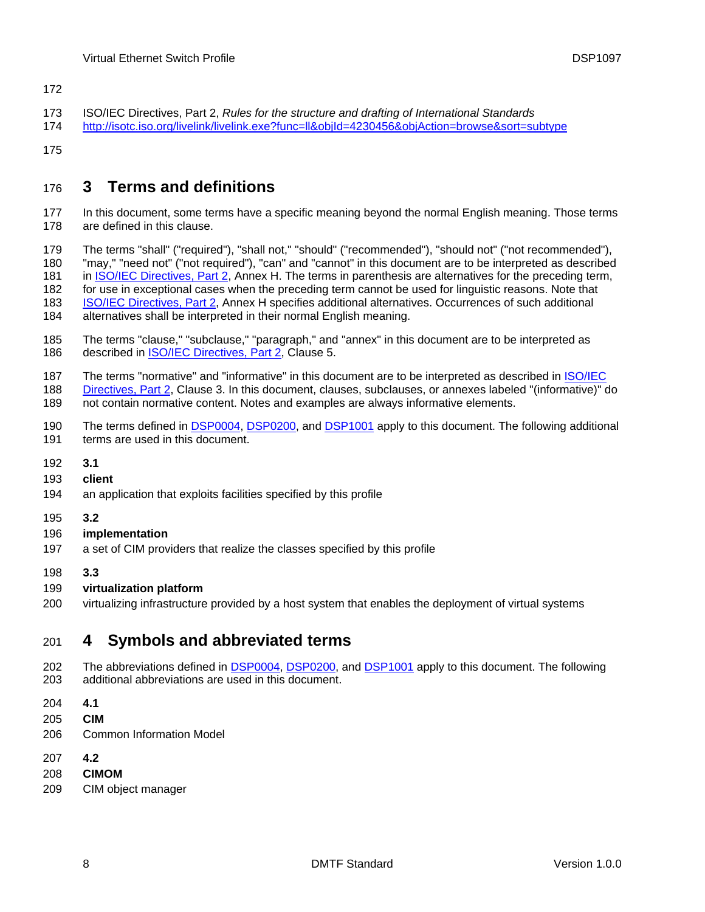<span id="page-7-0"></span>172

- 173 ISO/IEC Directives, Part 2, *Rules for the structure and drafting of International Standards*
- 174 <http://isotc.iso.org/livelink/livelink.exe?func=ll&objId=4230456&objAction=browse&sort=subtype>

175

## 176 **3 Terms and definitions**

- 177 178 In this document, some terms have a specific meaning beyond the normal English meaning. Those terms are defined in this clause.
- 179 180 The terms "shall" ("required"), "shall not," "should" ("recommended"), "should not" ("not recommended"), "may," "need not" ("not required"), "can" and "cannot" in this document are to be interpreted as described in [ISO/IEC Directives, Part 2](#page-7-0), Annex H. The terms in parenthesis are alternatives for the preceding term, for use in exceptional cases when the preceding term cannot be used for linguistic reasons. Note that 181 182 [ISO/IEC Directives, Part 2,](#page-7-0) Annex H specifies additional alternatives. Occurrences of such additional 183
- alternatives shall be interpreted in their normal English meaning. 184
- 185 The terms "clause," "subclause," "paragraph," and "annex" in this document are to be interpreted as 186 described in **[ISO/IEC Directives, Part 2](#page-7-0)**, Clause 5.
- The terms "normative" and "informative" in this document are to be interpreted as described in [ISO/IEC](#page-7-0) 187
- [Directives, Part 2](#page-7-0), Clause 3. In this document, clauses, subclauses, or annexes labeled "(informative)" do not contain normative content. Notes and examples are always informative elements. 188 189
- The terms defined in [DSP0004, DSP0200](#page-6-0), and [DSP1001](#page-6-0) apply to this document. The following additional terms are used in this document. 190 191
- 192 **3.1**
- 193 **client**
- 194 an application that exploits facilities specified by this profile
- 195 **3.2**

#### 196 **implementation**

- 197 a set of CIM providers that realize the classes specified by this profile
- 198 **3.3**

#### 199 **virtualization platform**

200 virtualizing infrastructure provided by a host system that enables the deployment of virtual systems

## 201 **4 Symbols and abbreviated terms**

- The abbreviations defined in [DSP0004](#page-6-0), [DSP0200,](#page-6-0) and [DSP1001](#page-6-0) apply to this document. The following additional abbreviations are used in this document. 202 203
- 204 **4.1**
- 205 **CIM**
- 206 Common Information Model
- 207 **4.2**
- 208 **CIMOM**
- 209 CIM object manager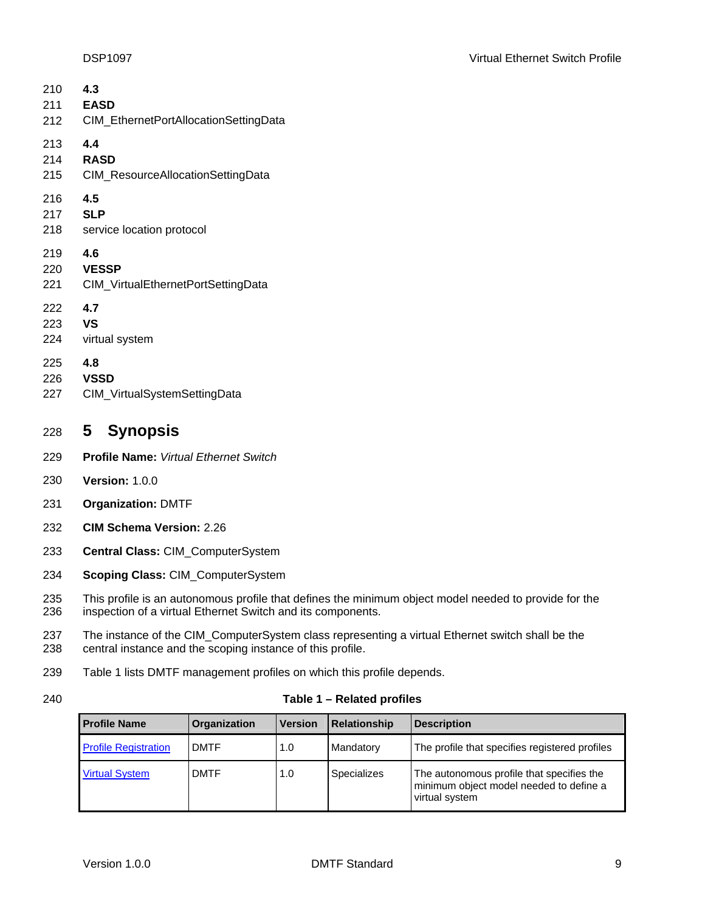<span id="page-8-0"></span>

| 210 | 4.3                                   |
|-----|---------------------------------------|
| 211 | <b>EASD</b>                           |
| 212 | CIM_EthernetPortAllocationSettingData |
| 213 | 4.4                                   |
| 214 | <b>RASD</b>                           |
| 215 | CIM_ResourceAllocationSettingData     |
| 216 | 4.5                                   |
| 217 | <b>SLP</b>                            |
| 218 | service location protocol             |
|     |                                       |
| 219 | 4.6                                   |
| 220 | <b>VESSP</b>                          |
| 221 | CIM_VirtualEthernetPortSettingData    |
| 222 | 4.7                                   |
| 223 | VS                                    |
| 224 | virtual system                        |
| 225 | 4.8                                   |
| 226 | <b>VSSD</b>                           |

### 228 **5 Synopsis**

- 229 **Profile Name:** *Virtual Ethernet Switch*
- 230 **Version:** 1.0.0
- 231 **Organization:** DMTF
- 232 **CIM Schema Version:** 2.26
- 233 **Central Class:** CIM\_ComputerSystem
- 234 **Scoping Class:** CIM\_ComputerSystem
- 235 236 This profile is an autonomous profile that defines the minimum object model needed to provide for the inspection of a virtual Ethernet Switch and its components.
- 237 238 The instance of the CIM\_ComputerSystem class representing a virtual Ethernet switch shall be the central instance and the scoping instance of this profile.
- 239 [Table 1](#page-8-1) lists DMTF management profiles on which this profile depends.
- <span id="page-8-1"></span>240

#### **Table 1 – Related profiles**

| <b>Profile Name</b>         | Organization | <b>Version</b> | <b>Relationship</b> | <b>Description</b>                                                                                     |
|-----------------------------|--------------|----------------|---------------------|--------------------------------------------------------------------------------------------------------|
| <b>Profile Registration</b> | <b>DMTF</b>  | 1.0            | Mandatory           | The profile that specifies registered profiles                                                         |
| <b>Virtual System</b>       | <b>DMTF</b>  | 1.0            | <b>Specializes</b>  | The autonomous profile that specifies the<br>minimum object model needed to define a<br>virtual system |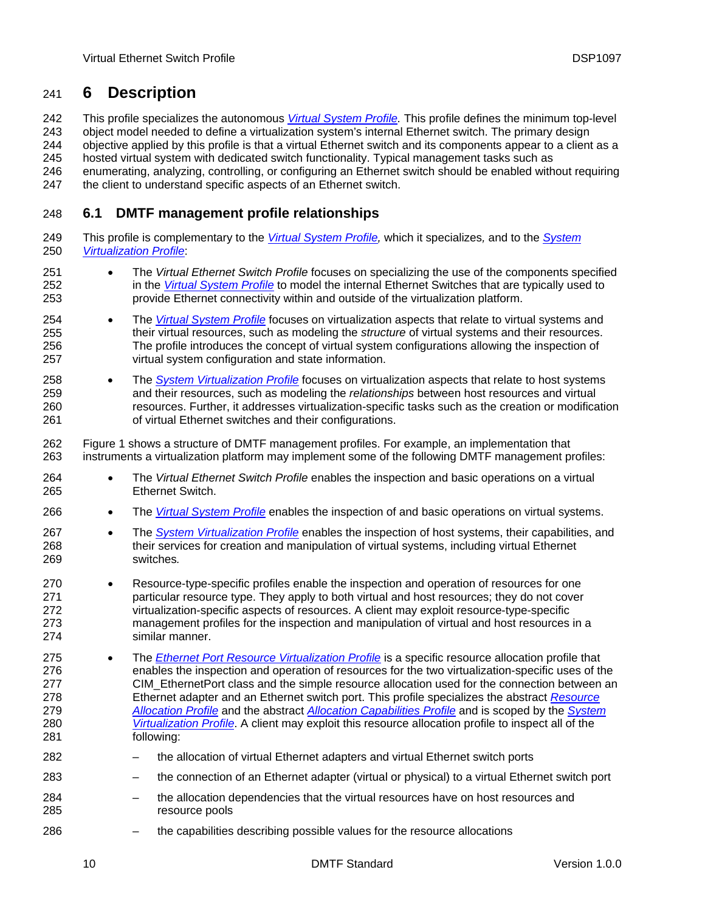### <span id="page-9-0"></span>241 **6 Description**

This profile specializes the autonomous *[Virtual System Profile](#page-6-0).* This profile defines the minimum top-level 242 243

object model needed to define a virtualization system's internal Ethernet switch. The primary design objective applied by this profile is that a virtual Ethernet switch and its components appear to a client as a 244

hosted virtual system with dedicated switch functionality. Typical management tasks such as 245

enumerating, analyzing, controlling, or configuring an Ethernet switch should be enabled without requiring 246

the client to understand specific aspects of an Ethernet switch. 247

#### 248 **6.1 DMTF management profile relationships**

- This profile is complementary to the *[Virtual System Profile](#page-6-0),* which it specializes*,* and to the *[System](#page-6-0) Virtualization Profile* 250 : 249
- 251 The *Virtual Ethernet Switch Profile* focuses on specializing the use of the components specified in the *[Virtual System Profile](#page-6-0)* to model the internal Ethernet Switches that are typically used to provide Ethernet connectivity within and outside of the virtualization platform. 252 253
- The *[Virtual System Profile](#page-6-0)* focuses on virtualization aspects that relate to virtual systems and their virtual resources, such as modeling the *structure* of virtual systems and their resources. The profile introduces the concept of virtual system configurations allowing the inspection of virtual system configuration and state information. 254 255 256 257
- The *[System Virtualization Profile](#page-6-0)* focuses on virtualization aspects that relate to host systems and their resources, such as modeling the *relationships* between host resources and virtual resources. Further, it addresses virtualization-specific tasks such as the creation or modification of virtual Ethernet switches and their configurations. 258 259 260 261
- 262 263 [Figure 1](#page-10-1) shows a structure of DMTF management profiles. For example, an implementation that instruments a virtualization platform may implement some of the following DMTF management profiles:
- 264 265 • The *Virtual Ethernet Switch Profile* enables the inspection and basic operations on a virtual Ethernet Switch.
- 266 The *[Virtual System Profile](#page-6-0)* enables the inspection of and basic operations on virtual systems.
- The *[System Virtualization Profile](#page-6-0)* enables the inspection of host systems, their capabilities, and their services for creation and manipulation of virtual systems, including virtual Ethernet switches*.*  267 268 269
- 270 271 272 273 274 • Resource-type-specific profiles enable the inspection and operation of resources for one particular resource type. They apply to both virtual and host resources; they do not cover virtualization-specific aspects of resources. A client may exploit resource-type-specific management profiles for the inspection and manipulation of virtual and host resources in a similar manner.
- The *[Ethernet Port Resource Virtualization Profile](#page-6-0)* is a specific resource allocation profile that enables the inspection and operation of resources for the two virtualization-specific uses of the CIM\_EthernetPort class and the simple resource allocation used for the connection between an Ethernet adapter and an Ethernet switch port. This profile specializes the abstract *[Resource](#page-6-0)* 275 276 277 *[Allocation Profile](#page-6-0)* and the abstract *[Allocation Capabilities Profile](#page-6-0)* and is scoped by the *[System](#page-6-0)* 278 *[Virtualization Profile](#page-6-0)* . A client may exploit this resource allocation profile to inspect all of the 279 following: 280 281
- 282 – the allocation of virtual Ethernet adapters and virtual Ethernet switch ports
- 283 – the connection of an Ethernet adapter (virtual or physical) to a virtual Ethernet switch port
- 284 285 – the allocation dependencies that the virtual resources have on host resources and resource pools
- 286 – the capabilities describing possible values for the resource allocations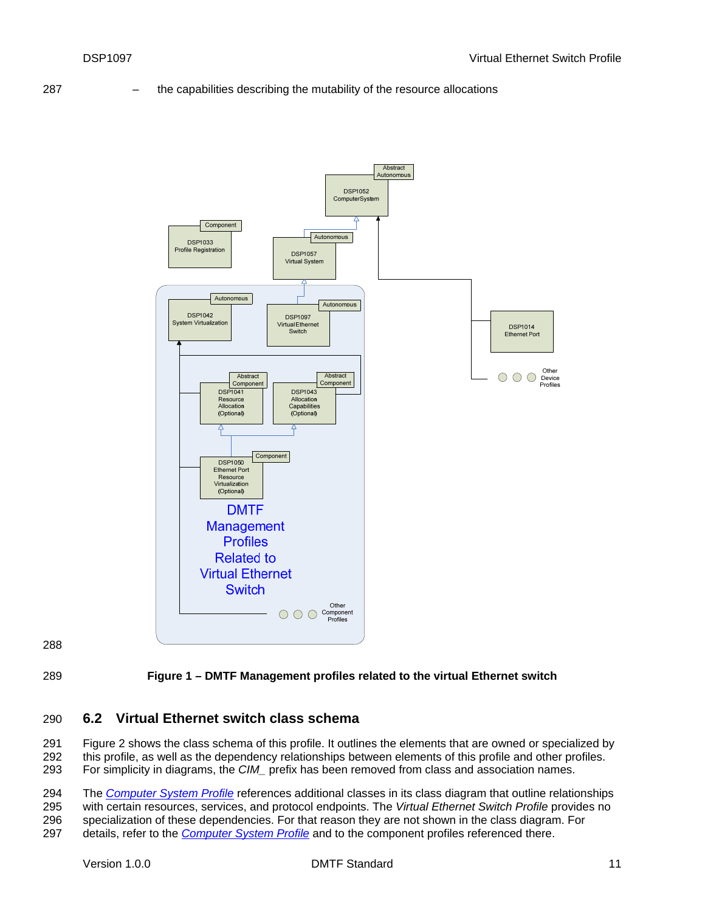#### <span id="page-10-0"></span>287 – the capabilities describing the mutability of the resource allocations



288

<span id="page-10-1"></span>289

#### **Figure 1 – DMTF Management profiles related to the virtual Ethernet switch**

### 290 **6.2 Virtual Ethernet switch class schema**

291 292 293 [Figure 2](#page-11-1) shows the class schema of this profile. It outlines the elements that are owned or specialized by this profile, as well as the dependency relationships between elements of this profile and other profiles. For simplicity in diagrams, the *CIM\_* prefix has been removed from class and association names.

The *[Computer System Profile](#page-6-0)* references additional classes in its class diagram that outline relationships with certain resources, services, and protocol endpoints. The *Virtual Ethernet Switch Profile* provides no specialization of these dependencies. For that reason they are not shown in the class diagram. For 297 details, refer to the *[Computer System Profile](#page-6-0)* and to the component profiles referenced there. 294 295 296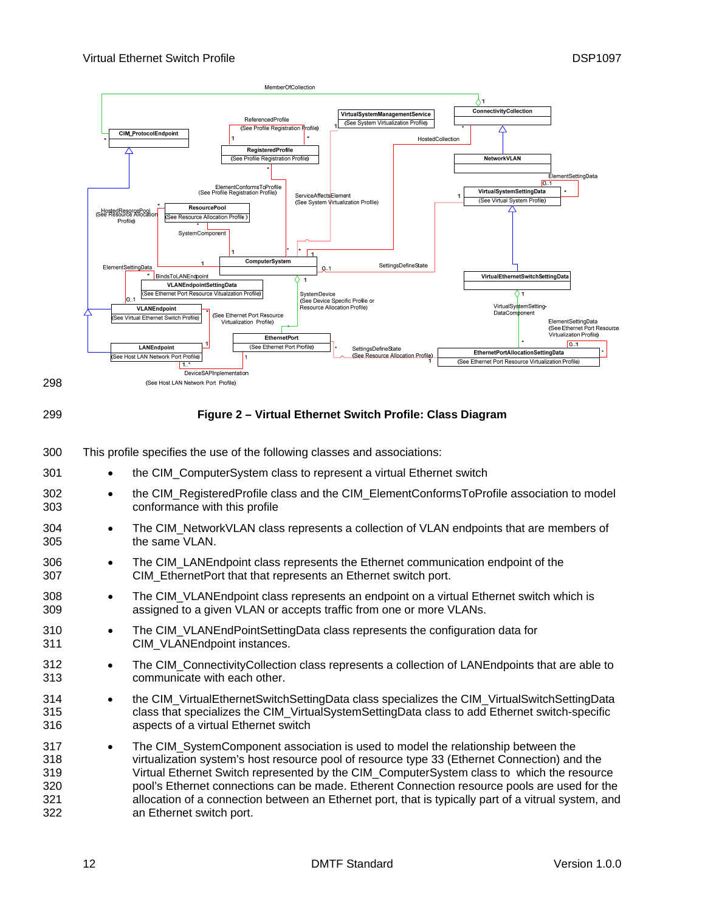<span id="page-11-0"></span>

<span id="page-11-1"></span>

#### **Figure 2 – Virtual Ethernet Switch Profile: Class Diagram**

- 300 This profile specifies the use of the following classes and associations:
- 301 • the CIM ComputerSystem class to represent a virtual Ethernet switch
- 302 303 • the CIM\_RegisteredProfile class and the CIM\_ElementConformsToProfile association to model conformance with this profile
- 304 305 • The CIM NetworkVLAN class represents a collection of VLAN endpoints that are members of the same VLAN.
- 306 307 • The CIM\_LANEndpoint class represents the Ethernet communication endpoint of the CIM\_EthernetPort that that represents an Ethernet switch port.
- 308 309 • The CIM VLANEndpoint class represents an endpoint on a virtual Ethernet switch which is assigned to a given VLAN or accepts traffic from one or more VLANs.
- 310 311 • The CIM VLANEndPointSettingData class represents the configuration data for CIM\_VLANEndpoint instances.
- 312 313 • The CIM ConnectivityCollection class represents a collection of LANEndpoints that are able to communicate with each other.
- 314 315 316 • the CIM VirtualEthernetSwitchSettingData class specializes the CIM VirtualSwitchSettingData class that specializes the CIM\_VirtualSystemSettingData class to add Ethernet switch-specific aspects of a virtual Ethernet switch
- 317 318 319 320 321 322 • The CIM\_SystemComponent association is used to model the relationship between the virtualization system's host resource pool of resource type 33 (Ethernet Connection) and the Virtual Ethernet Switch represented by the CIM\_ComputerSystem class to which the resource pool's Ethernet connections can be made. Etherent Connection resource pools are used for the allocation of a connection between an Ethernet port, that is typically part of a vitrual system, and an Ethernet switch port.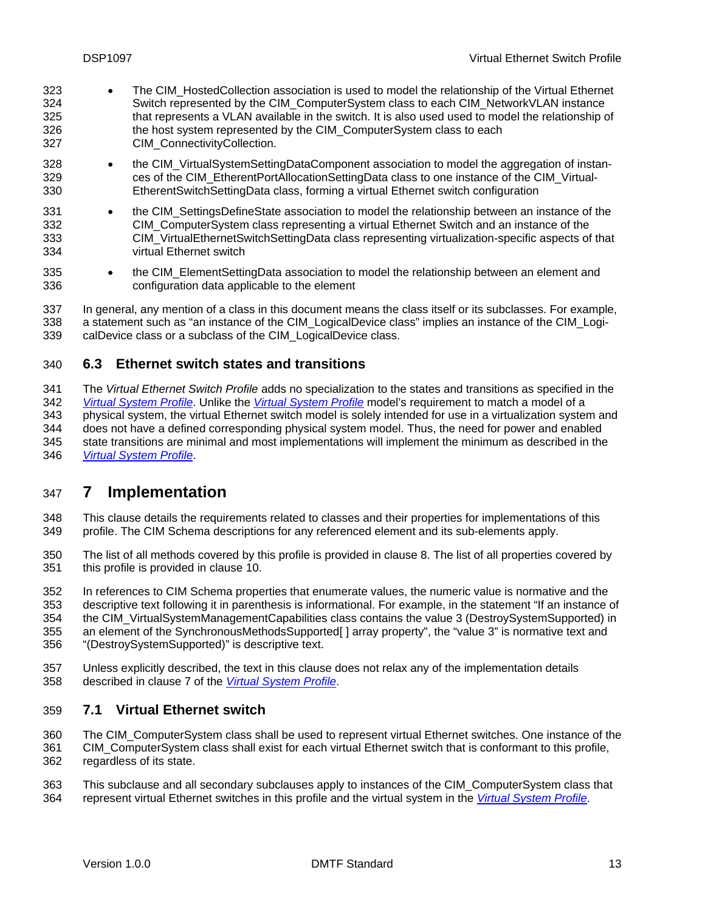- <span id="page-12-0"></span>323 324 325 326 327 • The CIM HostedCollection association is used to model the relationship of the Virtual Ethernet Switch represented by the CIM\_ComputerSystem class to each CIM\_NetworkVLAN instance that represents a VLAN available in the switch. It is also used used to model the relationship of the host system represented by the CIM\_ComputerSystem class to each CIM\_ConnectivityCollection.
- 328 329 330 • the CIM VirtualSystemSettingDataComponent association to model the aggregation of instances of the CIM\_EtherentPortAllocationSettingData class to one instance of the CIM\_Virtual-EtherentSwitchSettingData class, forming a virtual Ethernet switch configuration
- 331 332 333 334 • the CIM\_SettingsDefineState association to model the relationship between an instance of the CIM\_ComputerSystem class representing a virtual Ethernet Switch and an instance of the CIM\_VirtualEthernetSwitchSettingData class representing virtualization-specific aspects of that virtual Ethernet switch
- 335 336 • the CIM\_ElementSettingData association to model the relationship between an element and configuration data applicable to the element

337 338 339 In general, any mention of a class in this document means the class itself or its subclasses. For example, a statement such as "an instance of the CIM\_LogicalDevice class" implies an instance of the CIM\_LogicalDevice class or a subclass of the CIM\_LogicalDevice class.

#### 340 **6.3 Ethernet switch states and transitions**

341 The *Virtual Ethernet Switch Profile* adds no specialization to the states and transitions as specified in the *[Virtual System Profile](#page-6-0)*. Unlike the *[Virtual System Profile](#page-6-0)* model's requirement to match a model of a physical system, the virtual Ethernet switch model is solely intended for use in a virtualization system and does not have a defined corresponding physical system model. Thus, the need for power and enabled state transitions are minimal and most implementations will implement the minimum as described in the 342 343 344 345 346 *[Virtual System Profile](#page-6-0)*.

## <span id="page-12-1"></span>347 **7 Implementation**

348 349 This clause details the requirements related to classes and their properties for implementations of this profile. The CIM Schema descriptions for any referenced element and its sub-elements apply.

- 350 351 The list of all methods covered by this profile is provided in clause [8](#page-13-1). The list of all properties covered by this profile is provided in clause [10.](#page-17-1)
- 352 353 354 355 356 In references to CIM Schema properties that enumerate values, the numeric value is normative and the descriptive text following it in parenthesis is informational. For example, in the statement "If an instance of the CIM VirtualSystemManagementCapabilities class contains the value 3 (DestroySystemSupported) in an element of the SynchronousMethodsSupported[] array property", the "value 3" is normative text and "(DestroySystemSupported)" is descriptive text.
- 357 Unless explicitly described, the text in this clause does not relax any of the implementation details 358 described in clause 7 of the *[Virtual System Profile](#page-6-0)*.

### 359 **7.1 Virtual Ethernet switch**

360 The CIM\_ComputerSystem class shall be used to represent virtual Ethernet switches. One instance of the

- 361 362 CIM\_ComputerSystem class shall exist for each virtual Ethernet switch that is conformant to this profile, regardless of its state.
- 363 This subclause and all secondary subclauses apply to instances of the CIM\_ComputerSystem class that 364 represent virtual Ethernet switches in this profile and the virtual system in the *[Virtual System Profile](#page-6-0)*.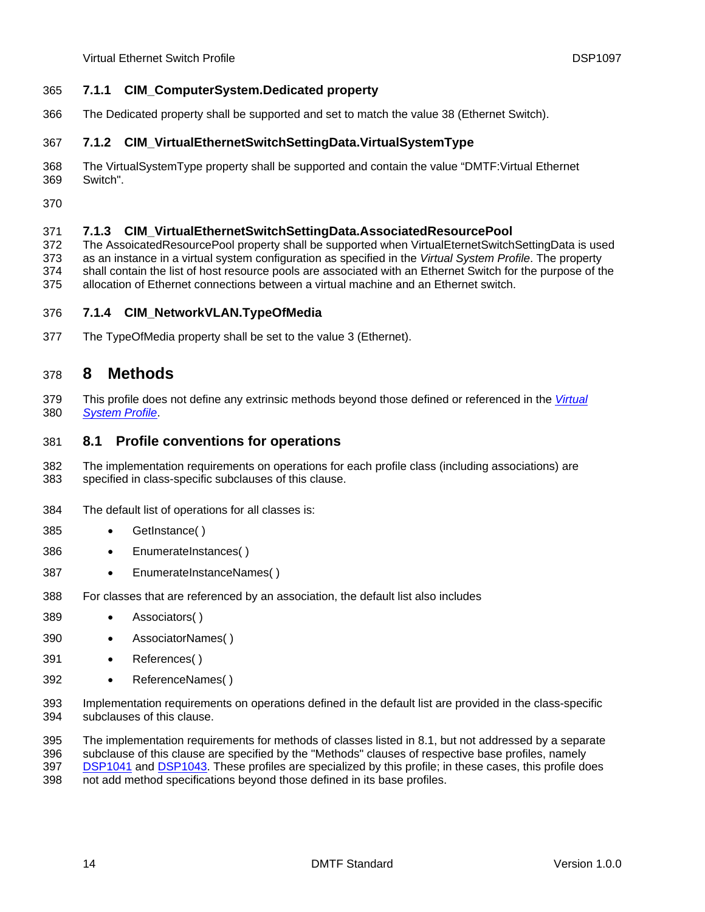#### <span id="page-13-3"></span><span id="page-13-0"></span>365 **7.1.1 CIM\_ComputerSystem.Dedicated property**

366 The Dedicated property shall be supported and set to match the value 38 (Ethernet Switch).

### <span id="page-13-5"></span>367 **7.1.2 CIM\_VirtualEthernetSwitchSettingData.VirtualSystemType**

- 368 369 The VirtualSystemType property shall be supported and contain the value "DMTF:Virtual Ethernet Switch".
- 370

#### <span id="page-13-4"></span>371 **7.1.3 CIM\_VirtualEthernetSwitchSettingData.AssociatedResourcePool**

372 373 374 375 The AssoicatedResourcePool property shall be supported when VirtualEternetSwitchSettingData is used as an instance in a virtual system configuration as specified in the *[Virtual System Profile](#page-6-1)*. The property shall contain the list of host resource pools are associated with an Ethernet Switch for the purpose of the allocation of Ethernet connections between a virtual machine and an Ethernet switch.

#### 376 **7.1.4 CIM\_NetworkVLAN.TypeOfMedia**

377 The TypeOfMedia property shall be set to the value 3 (Ethernet).

### <span id="page-13-1"></span>378 **8 Methods**

This profile does not define any extrinsic methods beyond those defined or referenced in the *[Virtual](#page-6-0)* 380 . System Profile 379

#### <span id="page-13-2"></span>381 **8.1 Profile conventions for operations**

- 382 383 The implementation requirements on operations for each profile class (including associations) are specified in class-specific subclauses of this clause.
- 384 The default list of operations for all classes is:
- 385 • GetInstance( )
- 386 • EnumerateInstances()
- 387 • EnumerateInstanceNames()
- 388 For classes that are referenced by an association, the default list also includes
- 389 • Associators( )
- 390 • AssociatorNames( )
- 391 • References( )
- 392 • ReferenceNames()
- 393 394 Implementation requirements on operations defined in the default list are provided in the class-specific subclauses of this clause.
- 395 396 The implementation requirements for methods of classes listed in [8.1](#page-13-2), but not addressed by a separate subclause of this clause are specified by the "Methods" clauses of respective base profiles, namely [DSP1041](#page-6-0) and [DSP1043.](#page-6-0) These profiles are specialized by this profile; in these cases, this profile does not add method specifications beyond those defined in its base profiles. 397 398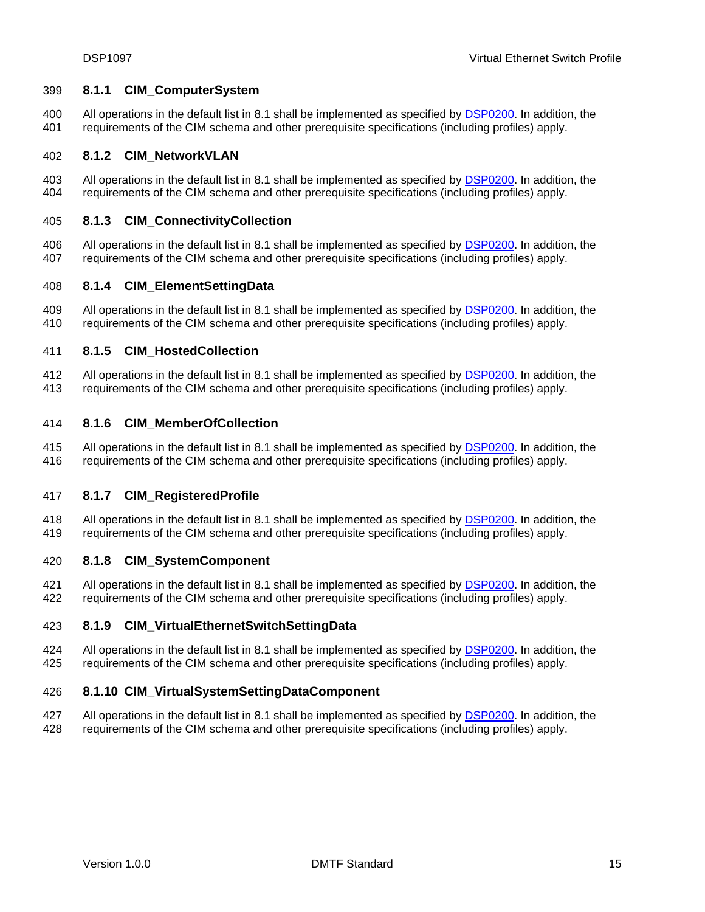#### <span id="page-14-0"></span>399 **8.1.1 CIM\_ComputerSystem**

All operations in the default list in [8.1](#page-13-2) shall be implemented as specified by [DSP0200.](#page-6-0) In addition, the requirements of the CIM schema and other prerequisite specifications (including profiles) apply. 400 401

#### 402 **8.1.2 CIM\_NetworkVLAN**

All operations in the default list in [8.1](#page-13-2) shall be implemented as specified by [DSP0200.](#page-6-0) In addition, the requirements of the CIM schema and other prerequisite specifications (including profiles) apply. 403 404

#### 405 **8.1.3 CIM\_ConnectivityCollection**

All operations in the default list in [8.1](#page-13-2) shall be implemented as specified by [DSP0200.](#page-6-0) In addition, the requirements of the CIM schema and other prerequisite specifications (including profiles) apply. 406 407

#### 408 **8.1.4 CIM\_ElementSettingData**

All operations in the default list in [8.1](#page-13-2) shall be implemented as specified by [DSP0200.](#page-6-0) In addition, the requirements of the CIM schema and other prerequisite specifications (including profiles) apply. 409 410

#### 411 **8.1.5 CIM\_HostedCollection**

- All operations in the default list in [8.1](#page-13-2) shall be implemented as specified by [DSP0200.](#page-6-0) In addition, the 412
- requirements of the CIM schema and other prerequisite specifications (including profiles) apply. 413

#### 414 **8.1.6 CIM\_MemberOfCollection**

All operations in the default list in [8.1](#page-13-2) shall be implemented as specified by [DSP0200.](#page-6-0) In addition, the requirements of the CIM schema and other prerequisite specifications (including profiles) apply. 415 416

#### 417 **8.1.7 CIM\_RegisteredProfile**

All operations in the default list in [8.1](#page-13-2) shall be implemented as specified by [DSP0200.](#page-6-0) In addition, the requirements of the CIM schema and other prerequisite specifications (including profiles) apply. 418 419

#### 420 **8.1.8 CIM\_SystemComponent**

All operations in the default list in [8.1](#page-13-2) shall be implemented as specified by [DSP0200.](#page-6-0) In addition, the requirements of the CIM schema and other prerequisite specifications (including profiles) apply. 421 422

#### 423 **8.1.9 CIM\_VirtualEthernetSwitchSettingData**

All operations in the default list in [8.1](#page-13-2) shall be implemented as specified by [DSP0200.](#page-6-0) In addition, the requirements of the CIM schema and other prerequisite specifications (including profiles) apply. 424 425

#### 426 **8.1.10 CIM\_VirtualSystemSettingDataComponent**

All operations in the default list in [8.1](#page-13-2) shall be implemented as specified by [DSP0200.](#page-6-0) In addition, the requirements of the CIM schema and other prerequisite specifications (including profiles) apply. 427 428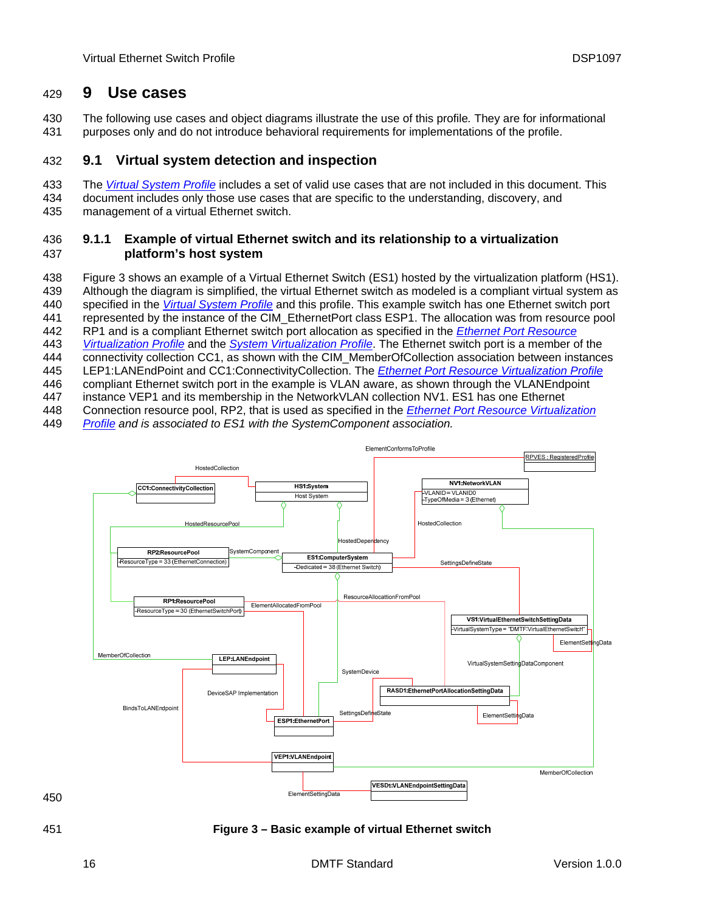### <span id="page-15-0"></span>429 **9 Use cases**

430 431 The following use cases and object diagrams illustrate the use of this profile*.* They are for informational purposes only and do not introduce behavioral requirements for implementations of the profile.

### 432 **9.1 Virtual system detection and inspection**

The *Virtual System Profile* includes a set of valid use cases that are not included in this document. This document includes only those use cases that are specific to the understanding, discovery, and management of a virtual Ethernet switch. 433 434 435

#### 437 436 **9.1.1 Example of virtual Ethernet switch and its relationship to a virtualization platform's host system**

438 439 [Figure 3](#page-15-1) shows an example of a Virtual Ethernet Switch (ES1) hosted by the virtualization platform (HS1). Although the diagram is simplified, the virtual Ethernet switch as modeled is a compliant virtual system as

specified in the *Virtual System Profile* and this profile. This example switch has one Ethernet switch port 440

represented by the instance of the CIM\_EthernetPort class ESP1. The allocation was from resource pool 441

RP1 and is a compliant Ethernet switch port allocation as specified in the *[Ethernet Port Resource](#page-6-0)* 442

[Virtualization Profile](#page-6-0) and the **[System Virtualization Profile](#page-6-0)**. The Ethernet switch port is a member of the 443

connectivity collection CC1, as shown with the CIM\_MemberOfCollection association between instances 444

LEP1:LANEndPoint and CC1:ConnectivityCollection. The *[Ethernet Port Resource Virtualization Profile](#page-6-0)* 445

compliant Ethernet switch port in the example is VLAN aware, as shown through the VLANEndpoint 446

instance VEP1 and its membership in the NetworkVLAN collection NV1. ES1 has one Ethernet 447

Connection resource pool, RP2, that is used as specified in the *[Ethernet Port Resource Virtualization](#page-6-0)* 449 *[Profile](#page-6-0)* and is associated to ES1 with the SystemComponent association. 448



<span id="page-15-1"></span>

451 **Figure 3 – Basic example of virtual Ethernet switch**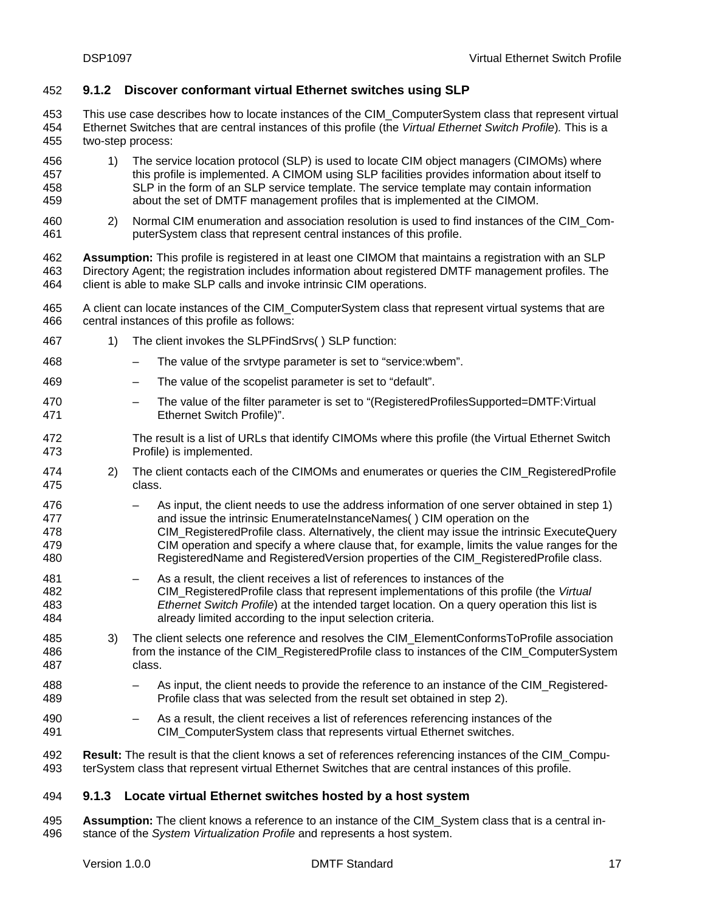#### <span id="page-16-0"></span>452 **9.1.2 Discover conformant virtual Ethernet switches using SLP**

453 454 455 This use case describes how to locate instances of the CIM\_ComputerSystem class that represent virtual Ethernet Switches that are central instances of this profile (the *Virtual Ethernet Switch Profile*)*.* This is a two-step process:

- <span id="page-16-1"></span>456 457 458 459 1) The service location protocol (SLP) is used to locate CIM object managers (CIMOMs) where this profile is implemented. A CIMOM using SLP facilities provides information about itself to SLP in the form of an SLP service template. The service template may contain information about the set of DMTF management profiles that is implemented at the CIMOM.
- 460 461 2) Normal CIM enumeration and association resolution is used to find instances of the CIM\_ComputerSystem class that represent central instances of this profile.
- 462 463 464 **Assumption:** This profile is registered in at least one CIMOM that maintains a registration with an SLP Directory Agent; the registration includes information about registered DMTF management profiles. The client is able to make SLP calls and invoke intrinsic CIM operations.
- 465 466 A client can locate instances of the CIM\_ComputerSystem class that represent virtual systems that are central instances of this profile as follows:
- 467 1) The client invokes the SLPFindSrvs( ) SLP function:
- 468 The value of the srvtype parameter is set to "service: wbem".
- 469 – The value of the scopelist parameter is set to "default".
- 470 471 – The value of the filter parameter is set to "(RegisteredProfilesSupported=DMTF:Virtual Ethernet Switch Profile)".
- 472 473 The result is a list of URLs that identify CIMOMs where this profile (the Virtual Ethernet Switch Profile) is implemented.
- <span id="page-16-2"></span>474 475 2) The client contacts each of the CIMOMs and enumerates or queries the CIM\_RegisteredProfile class.
- 476 477 478 479 – As input, the client needs to use the address information of one server obtained in step [1\)](#page-16-1) and issue the intrinsic EnumerateInstanceNames( ) CIM operation on the CIM\_RegisteredProfile class. Alternatively, the client may issue the intrinsic ExecuteQuery CIM operation and specify a where clause that, for example, limits the value ranges for the RegisteredName and RegisteredVersion properties of the CIM\_RegisteredProfile class.
- 481 482 483 484 – As a result, the client receives a list of references to instances of the CIM\_RegisteredProfile class that represent implementations of this profile (the *Virtual Ethernet Switch Profile*) at the intended target location. On a query operation this list is already limited according to the input selection criteria.
- 485 486 487 3) The client selects one reference and resolves the CIM\_ElementConformsToProfile association from the instance of the CIM\_RegisteredProfile class to instances of the CIM\_ComputerSystem class.
- 488 489 – As input, the client needs to provide the reference to an instance of the CIM\_Registered-Profile class that was selected from the result set obtained in step [2\).](#page-16-2)
- 490 491 – As a result, the client receives a list of references referencing instances of the CIM\_ComputerSystem class that represents virtual Ethernet switches.
- 492 493 **Result:** The result is that the client knows a set of references referencing instances of the CIM\_ComputerSystem class that represent virtual Ethernet Switches that are central instances of this profile.

#### 494 **9.1.3 Locate virtual Ethernet switches hosted by a host system**

495 496 **Assumption:** The client knows a reference to an instance of the CIM\_System class that is a central instance of the *[System Virtualization Profile](#page-6-2)* and represents a host system.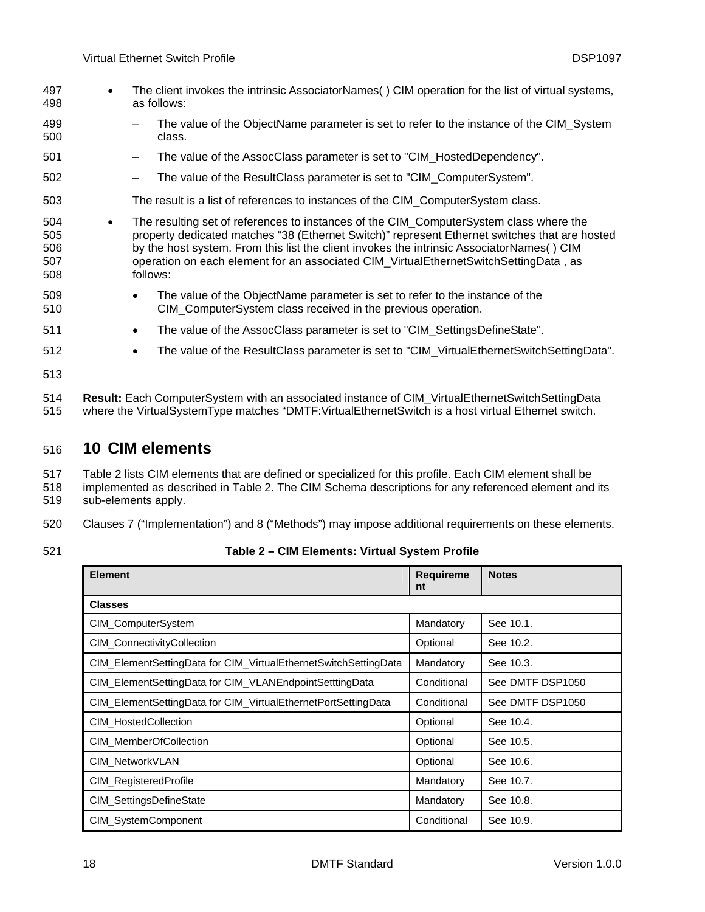<span id="page-17-0"></span>497 498 499 500 501 502 503 504 505 506 507 508 509 510 511 512 513 514 • The client invokes the intrinsic AssociatorNames() CIM operation for the list of virtual systems, as follows: – The value of the ObjectName parameter is set to refer to the instance of the CIM\_System class. – The value of the AssocClass parameter is set to "CIM\_HostedDependency". – The value of the ResultClass parameter is set to "CIM\_ComputerSystem". The result is a list of references to instances of the CIM\_ComputerSystem class. The resulting set of references to instances of the CIM ComputerSystem class where the property dedicated matches "38 (Ethernet Switch)" represent Ethernet switches that are hosted by the host system. From this list the client invokes the intrinsic AssociatorNames( ) CIM operation on each element for an associated CIM\_VirtualEthernetSwitchSettingData , as follows: The value of the ObjectName parameter is set to refer to the instance of the CIM\_ComputerSystem class received in the previous operation. • The value of the AssocClass parameter is set to "CIM\_SettingsDefineState". The value of the ResultClass parameter is set to "CIM\_VirtualEthernetSwitchSettingData". **Result:** Each ComputerSystem with an associated instance of CIM\_VirtualEthernetSwitchSettingData

515 where the VirtualSystemType matches "DMTF:VirtualEthernetSwitch is a host virtual Ethernet switch.

## <span id="page-17-1"></span>516 **10 CIM elements**

517 [Table 2](#page-17-2) lists CIM elements that are defined or specialized for this profile. Each CIM element shall be

518 519 implemented as described in [Table 2](#page-17-2). The CIM Schema descriptions for any referenced element and its sub-elements apply.

- 520 Clauses [7](#page-12-1) ("[Implementation](#page-12-1)") and [8](#page-13-1) (["Methods"](#page-13-1)) may impose additional requirements on these elements.
- <span id="page-17-2"></span>521

**Table 2 – CIM Elements: Virtual System Profile** 

| <b>Element</b>                                                  | Requireme<br>nt | <b>Notes</b>     |
|-----------------------------------------------------------------|-----------------|------------------|
| <b>Classes</b>                                                  |                 |                  |
| CIM_ComputerSystem                                              | Mandatory       | See 10.1.        |
| CIM_ConnectivityCollection                                      | Optional        | See 10.2.        |
| CIM_ElementSettingData for CIM_VirtualEthernetSwitchSettingData | Mandatory       | See 10.3.        |
| CIM_ElementSettingData for CIM_VLANEndpointSetttingData         | Conditional     | See DMTF DSP1050 |
| CIM_ElementSettingData for CIM_VirtualEthernetPortSettingData   | Conditional     | See DMTF DSP1050 |
| CIM HostedCollection                                            | Optional        | See 10.4.        |
| CIM MemberOfCollection                                          | Optional        | See 10.5.        |
| CIM NetworkVLAN                                                 | Optional        | See 10.6.        |
| CIM_RegisteredProfile                                           | Mandatory       | See 10.7.        |
| CIM_SettingsDefineState                                         | Mandatory       | See 10.8.        |
| <b>CIM SystemComponent</b>                                      | Conditional     | See 10.9.        |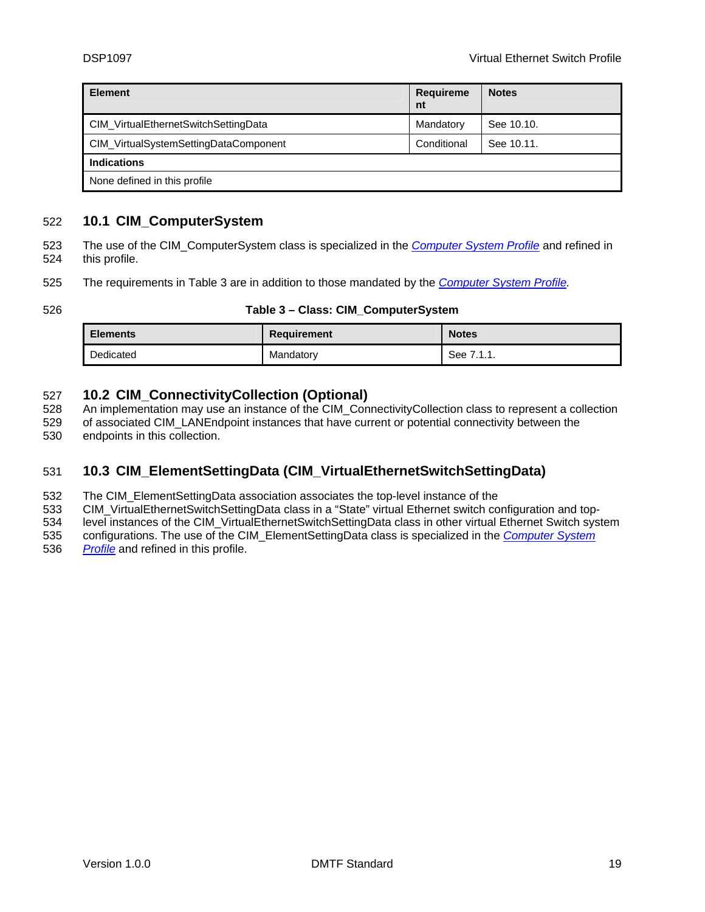<span id="page-18-0"></span>

| <b>Element</b>                        | <b>Requireme</b><br>nt | <b>Notes</b> |
|---------------------------------------|------------------------|--------------|
| CIM VirtualEthernetSwitchSettingData  | Mandatory              | See 10.10.   |
| CIM_VirtualSystemSettingDataComponent | Conditional            | See 10.11.   |
| <b>Indications</b>                    |                        |              |
| None defined in this profile          |                        |              |

### <span id="page-18-1"></span>522 **10.1 CIM\_ComputerSystem**

- The use of the CIM\_ComputerSystem class is specialized in the *Computer System Profile* and refined in this profile. 523 524
- 525 The requirements in [Table 3](#page-18-4) are in addition to those mandated by the *Computer System Profile.*

<span id="page-18-4"></span>

#### 526 **Table 3 – Class: CIM\_ComputerSystem**

| <b>Elements</b> | Requirement | <b>Notes</b> |
|-----------------|-------------|--------------|
| Dedicated       | Mandatory   | See 7.1.1.   |

### <span id="page-18-2"></span>527 **10.2 CIM\_ConnectivityCollection (Optional)**

- An implementation may use an instance of the CIM\_ConnectivityCollection class to represent a collection 528
- of associated CIM\_LANEndpoint instances that have current or potential connectivity between the endpoints in this collection. 529 530

### <span id="page-18-3"></span>531 **10.3 CIM\_ElementSettingData (CIM\_VirtualEthernetSwitchSettingData)**

532 The CIM\_ElementSettingData association associates the top-level instance of the

533 CIM\_VirtualEthernetSwitchSettingData class in a "State" virtual Ethernet switch configuration and top-

534 level instances of the CIM\_VirtualEthernetSwitchSettingData class in other virtual Ethernet Switch system

- configurations. The use of the CIM\_ElementSettingData class is specialized in the *Computer System* 535
- 536 **Profile** and refined in this profile.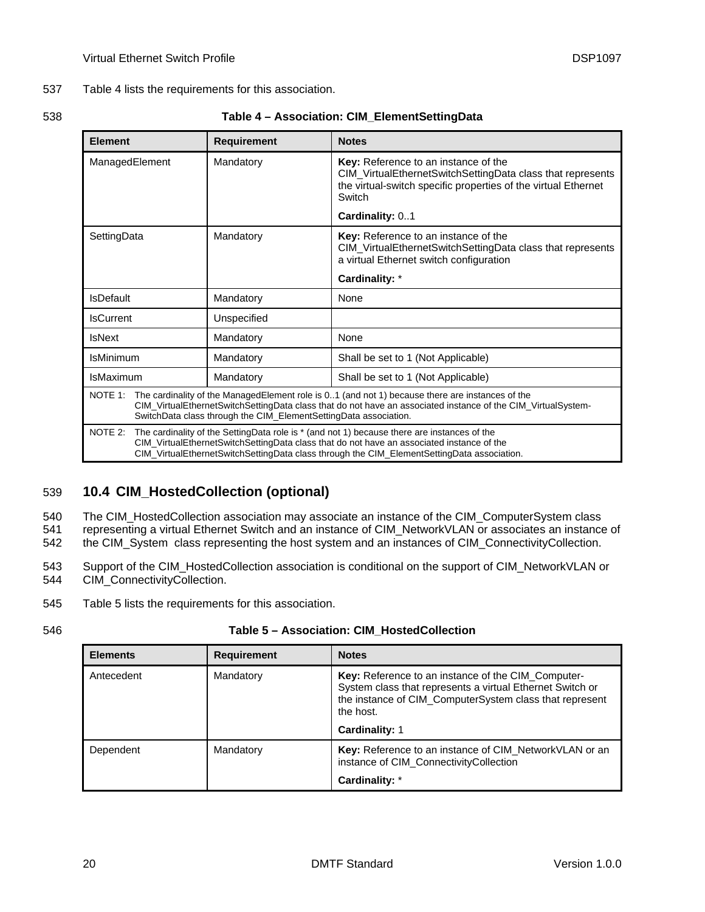- <span id="page-19-0"></span>537 [Table 4](#page-19-2) lists the requirements for this association.
- <span id="page-19-2"></span>538

#### **Table 4 – Association: CIM\_ElementSettingData**

| <b>Element</b>                                                                                                                                                                                                                                                                                    | <b>Requirement</b> | <b>Notes</b>                                                                                                                                                                                      |  |
|---------------------------------------------------------------------------------------------------------------------------------------------------------------------------------------------------------------------------------------------------------------------------------------------------|--------------------|---------------------------------------------------------------------------------------------------------------------------------------------------------------------------------------------------|--|
| ManagedElement                                                                                                                                                                                                                                                                                    | Mandatory          | Key: Reference to an instance of the<br>CIM_VirtualEthernetSwitchSettingData class that represents<br>the virtual-switch specific properties of the virtual Ethernet<br>Switch<br>Cardinality: 01 |  |
|                                                                                                                                                                                                                                                                                                   |                    |                                                                                                                                                                                                   |  |
| SettingData                                                                                                                                                                                                                                                                                       | Mandatory          | Key: Reference to an instance of the<br>CIM_VirtualEthernetSwitchSettingData class that represents<br>a virtual Ethernet switch configuration                                                     |  |
|                                                                                                                                                                                                                                                                                                   |                    | Cardinality: *                                                                                                                                                                                    |  |
| <b>IsDefault</b>                                                                                                                                                                                                                                                                                  | Mandatory          | None                                                                                                                                                                                              |  |
| <b>IsCurrent</b>                                                                                                                                                                                                                                                                                  | Unspecified        |                                                                                                                                                                                                   |  |
| <b>IsNext</b>                                                                                                                                                                                                                                                                                     | Mandatory          | None                                                                                                                                                                                              |  |
| <b>IsMinimum</b>                                                                                                                                                                                                                                                                                  | Mandatory          | Shall be set to 1 (Not Applicable)                                                                                                                                                                |  |
| IsMaximum                                                                                                                                                                                                                                                                                         | Mandatory          | Shall be set to 1 (Not Applicable)                                                                                                                                                                |  |
| NOTE 1:<br>The cardinality of the ManagedElement role is 01 (and not 1) because there are instances of the<br>CIM_VirtualEthernetSwitchSettingData class that do not have an associated instance of the CIM_VirtualSystem-<br>SwitchData class through the CIM_ElementSettingData association.    |                    |                                                                                                                                                                                                   |  |
| NOTE 2:<br>The cardinality of the SettingData role is * (and not 1) because there are instances of the<br>CIM_VirtualEthernetSwitchSettingData class that do not have an associated instance of the<br>CIM_VirtualEthernetSwitchSettingData class through the CIM_ElementSettingData association. |                    |                                                                                                                                                                                                   |  |

### <span id="page-19-1"></span>539 **10.4 CIM\_HostedCollection (optional)**

The CIM\_HostedCollection association may associate an instance of the CIM\_ComputerSystem class representing a virtual Ethernet Switch and an instance of CIM\_NetworkVLAN or associates an instance of 540 541

the CIM\_System class representing the host system and an instances of CIM\_ConnectivityCollection. 542

543 544 Support of the CIM\_HostedCollection association is conditional on the support of CIM\_NetworkVLAN or CIM\_ConnectivityCollection.

545 [Table 5](#page-19-3) lists the requirements for this association.

<span id="page-19-3"></span>

### **Table 5 – Association: CIM\_HostedCollection**

| <b>Elements</b> | <b>Requirement</b> | <b>Notes</b>                                                                                                                                                                                                            |
|-----------------|--------------------|-------------------------------------------------------------------------------------------------------------------------------------------------------------------------------------------------------------------------|
| Antecedent      | Mandatory          | <b>Key:</b> Reference to an instance of the CIM Computer-<br>System class that represents a virtual Ethernet Switch or<br>the instance of CIM_ComputerSystem class that represent<br>the host.<br><b>Cardinality: 1</b> |
| Dependent       | Mandatory          | <b>Key:</b> Reference to an instance of CIM_NetworkVLAN or an<br>instance of CIM Connectivity Collection<br>Cardinality: *                                                                                              |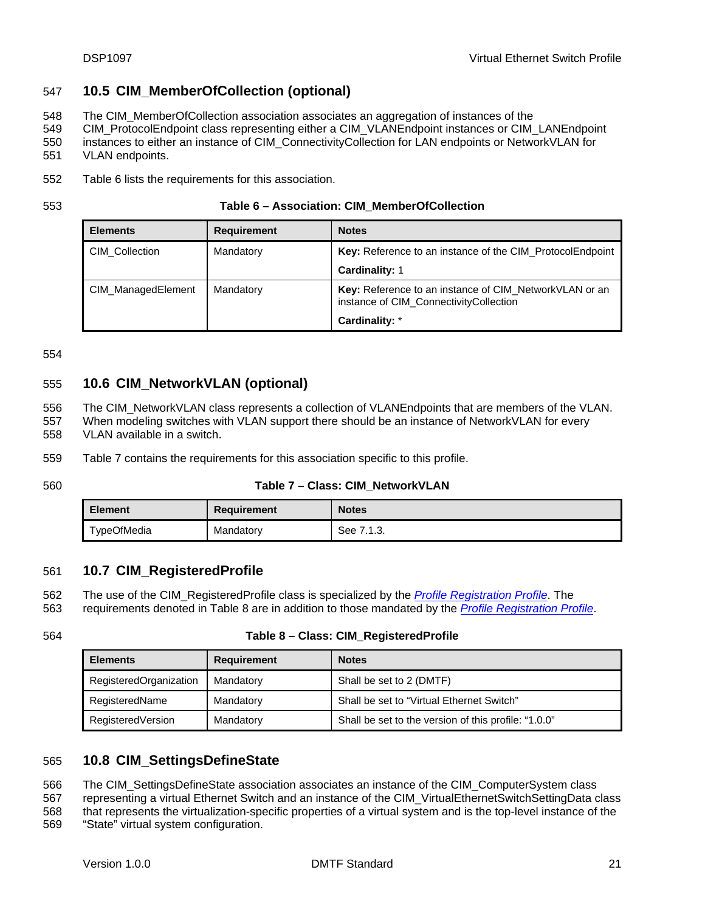### <span id="page-20-1"></span><span id="page-20-0"></span>547 **10.5 CIM\_MemberOfCollection (optional)**

548 The CIM\_MemberOfCollection association associates an aggregation of instances of the

549 CIM\_ProtocolEndpoint class representing either a CIM\_VLANEndpoint instances or CIM\_LANEndpoint

550 instances to either an instance of CIM\_ConnectivityCollection for LAN endpoints or NetworkVLAN for

- 551 VLAN endpoints.
- 552 [Table 6](#page-20-5) lists the requirements for this association.

<span id="page-20-5"></span>553

| <b>Elements</b>    | <b>Requirement</b> | <b>Notes</b>                                                                                     |
|--------------------|--------------------|--------------------------------------------------------------------------------------------------|
| CIM Collection     | Mandatory          | Key: Reference to an instance of the CIM_ProtocolEndpoint                                        |
|                    |                    | <b>Cardinality: 1</b>                                                                            |
| CIM ManagedElement | Mandatory          | Key: Reference to an instance of CIM_NetworkVLAN or an<br>instance of CIM_ConnectivityCollection |
|                    |                    | Cardinality: *                                                                                   |

554

### <span id="page-20-2"></span>555 **10.6 CIM\_NetworkVLAN (optional)**

556 557 The CIM\_NetworkVLAN class represents a collection of VLANEndpoints that are members of the VLAN. When modeling switches with VLAN support there should be an instance of NetworkVLAN for every

558 VLAN available in a switch.

559 [Table 7](#page-20-6) contains the requirements for this association specific to this profile.

<span id="page-20-6"></span>560

#### **Table 7 – Class: CIM\_NetworkVLAN**

| <b>Element</b> | Requirement | <b>Notes</b> |
|----------------|-------------|--------------|
| TypeOfMedia    | Mandatory   | See 7.1.3.   |

#### <span id="page-20-3"></span>561 **10.7 CIM\_RegisteredProfile**

The use of the CIM\_RegisteredProfile class is specialized by the *[Profile Registration Profile](#page-6-0)*. The 562

563 requirements denoted in [Table 8](#page-20-7) are in addition to those mandated by the **[Profile Registration Profile](#page-6-0)**.

#### <span id="page-20-7"></span>564 **Table 8 – Class: CIM\_RegisteredProfile**

| <b>Elements</b>        | <b>Requirement</b> | <b>Notes</b>                                         |
|------------------------|--------------------|------------------------------------------------------|
| RegisteredOrganization | Mandatory          | Shall be set to 2 (DMTF)                             |
| RegisteredName         | Mandatory          | Shall be set to "Virtual Ethernet Switch"            |
| RegisteredVersion      | Mandatory          | Shall be set to the version of this profile: "1.0.0" |

### <span id="page-20-4"></span>565 **10.8 CIM\_SettingsDefineState**

The CIM\_SettingsDefineState association associates an instance of the CIM\_ComputerSystem class 566

representing a virtual Ethernet Switch and an instance of the CIM\_VirtualEthernetSwitchSettingData class 567

that represents the virtualization-specific properties of a virtual system and is the top-level instance of the "State" virtual system configuration. 568 569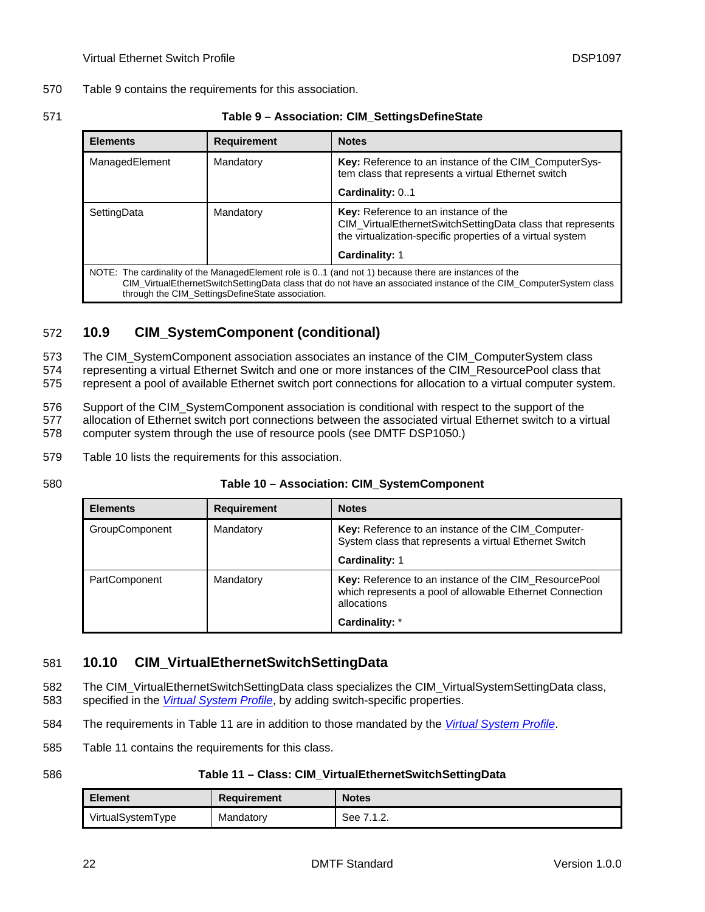#### <span id="page-21-0"></span>570 [Table 9](#page-21-3) contains the requirements for this association.

<span id="page-21-3"></span>

#### **Table 9 – Association: CIM\_SettingsDefineState**

| <b>Elements</b>                                                                                                                                                                                                                                                                 | <b>Requirement</b> | <b>Notes</b>                                                                                                                                                                       |
|---------------------------------------------------------------------------------------------------------------------------------------------------------------------------------------------------------------------------------------------------------------------------------|--------------------|------------------------------------------------------------------------------------------------------------------------------------------------------------------------------------|
| ManagedElement                                                                                                                                                                                                                                                                  | Mandatory          | Key: Reference to an instance of the CIM_ComputerSys-<br>tem class that represents a virtual Ethernet switch                                                                       |
|                                                                                                                                                                                                                                                                                 |                    | Cardinality: 01                                                                                                                                                                    |
| SettingData                                                                                                                                                                                                                                                                     | Mandatory          | Key: Reference to an instance of the<br>CIM_VirtualEthernetSwitchSettingData class that represents<br>the virtualization-specific properties of a virtual system<br>Cardinality: 1 |
| NOTE: The cardinality of the ManagedElement role is 01 (and not 1) because there are instances of the<br>CIM_VirtualEthernetSwitchSettingData class that do not have an associated instance of the CIM_ComputerSystem class<br>through the CIM_SettingsDefineState association. |                    |                                                                                                                                                                                    |

## <span id="page-21-1"></span>572 **10.9 CIM\_SystemComponent (conditional)**

The CIM\_SystemComponent association associates an instance of the CIM\_ComputerSystem class representing a virtual Ethernet Switch and one or more instances of the CIM\_ResourcePool class that 573 574

represent a pool of available Ethernet switch port connections for allocation to a virtual computer system. 575

576 577 578 Support of the CIM\_SystemComponent association is conditional with respect to the support of the allocation of Ethernet switch port connections between the associated virtual Ethernet switch to a virtual computer system through the use of resource pools (see [DMTF DSP1050](#page-6-3).)

579 [Table 10](#page-21-4) lists the requirements for this association.

<span id="page-21-4"></span>580

#### **Table 10 – Association: CIM\_SystemComponent**

| <b>Elements</b>       | <b>Requirement</b> | <b>Notes</b>                                                                                                                     |
|-----------------------|--------------------|----------------------------------------------------------------------------------------------------------------------------------|
| <b>GroupComponent</b> | Mandatory          | Key: Reference to an instance of the CIM_Computer-<br>System class that represents a virtual Ethernet Switch                     |
|                       |                    | Cardinality: 1                                                                                                                   |
| PartComponent         | Mandatory          | Key: Reference to an instance of the CIM_ResourcePool<br>which represents a pool of allowable Ethernet Connection<br>allocations |
|                       |                    | Cardinality: *                                                                                                                   |

### <span id="page-21-2"></span>581 **10.10 CIM\_VirtualEthernetSwitchSettingData**

- The CIM\_VirtualEthernetSwitchSettingData class specializes the CIM\_VirtualSystemSettingData class, 583 specified in the *Virtual System Profile*, by adding switch-specific properties. 582
- 584 The requirements in [Table 11](#page-21-5) are in addition to those mandated by the *Virtual System Profile*.
- 585 [Table 11](#page-21-5) contains the requirements for this class.
- <span id="page-21-5"></span>586

#### **Table 11 – Class: CIM\_VirtualEthernetSwitchSettingData**

| <b>Element</b>    | <b>Requirement</b> | <b>Notes</b>      |
|-------------------|--------------------|-------------------|
| VirtualSystemType | Mandatory          | See 7<br>710<br>. |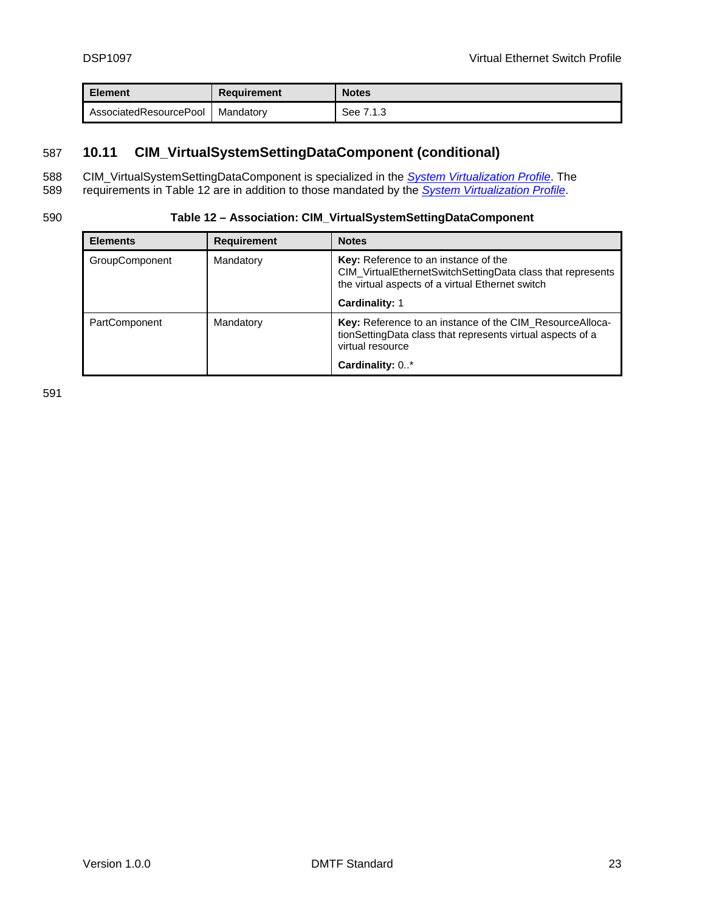<span id="page-22-0"></span>

| <b>Element</b>         | Requirement | <b>Notes</b> |
|------------------------|-------------|--------------|
| AssociatedResourcePool | Mandatorv   | See 7.1.3    |

### <span id="page-22-1"></span>587 **10.11 CIM\_VirtualSystemSettingDataComponent (conditional)**

- CIM\_VirtualSystemSettingDataComponent is specialized in the *[System Virtualization Profile](#page-6-0)*. The 589 requirements in [Table 12](#page-22-2) are in addition to those mandated by the *[System Virtualization Profile](#page-6-0)*. 588
- 

#### <span id="page-22-2"></span>590 **Table 12 – Association: CIM\_VirtualSystemSettingDataComponent**

| <b>Elements</b>       | <b>Requirement</b> | <b>Notes</b>                                                                                                                                                                           |
|-----------------------|--------------------|----------------------------------------------------------------------------------------------------------------------------------------------------------------------------------------|
| <b>GroupComponent</b> | Mandatory          | <b>Key:</b> Reference to an instance of the<br>CIM_VirtualEthernetSwitchSettingData class that represents<br>the virtual aspects of a virtual Ethernet switch<br><b>Cardinality: 1</b> |
| PartComponent         | Mandatory          | <b>Key:</b> Reference to an instance of the CIM_ResourceAlloca-<br>tionSettingData class that represents virtual aspects of a<br>virtual resource<br>Cardinality: 0*                   |